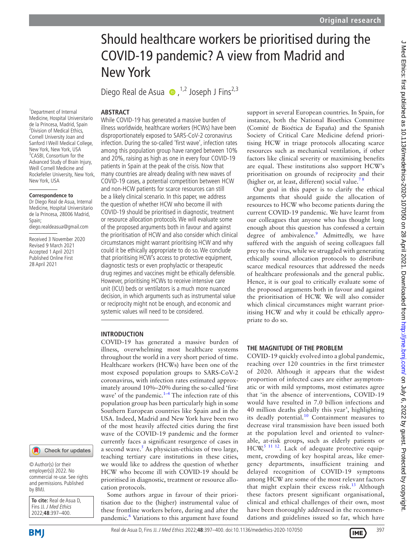# Should healthcare workers be prioritised during the COVID-19 pandemic? A view from Madrid and New York

Diego Real de Asua  $\bullet$ , <sup>1,2</sup> Joseph J Fins<sup>2,3</sup>

## **ABSTRACT**

<sup>1</sup>Department of Internal Medicine, Hospital Universitario de la Princesa, Madrid, Spain 2 Division of Medical Ethics, Cornell University Joan and Sanford I Weill Medical College, New York, New York, USA 3 CASBI, Consortium for the Advanced Study of Brain Injury, Weill Cornell Medicine and Rockefeller University, New York, New York, USA

#### **Correspondence to**

Dr Diego Real de Asua, Internal Medicine, Hospital Universitario de la Princesa, 28006 Madrid, Spain;

diego.realdeasua@gmail.com

Received 3 November 2020 Revised 9 March 2021 Accepted 1 April 2021 Published Online First 28 April 2021

While COVID-19 has generated a massive burden of illness worldwide, healthcare workers (HCWs) have been disproportionately exposed to SARS-CoV-2 coronavirus infection. During the so-called 'first wave', infection rates among this population group have ranged between 10% and 20%, raising as high as one in every four COVID-19 patients in Spain at the peak of the crisis. Now that many countries are already dealing with new waves of COVID-19 cases, a potential competition between HCW and non-HCW patients for scarce resources can still be a likely clinical scenario. In this paper, we address the question of whether HCW who become ill with COVID-19 should be prioritised in diagnostic, treatment or resource allocation protocols. We will evaluate some of the proposed arguments both in favour and against the prioritisation of HCW and also consider which clinical circumstances might warrant prioritising HCW and why could it be ethically appropriate to do so. We conclude that prioritising HCW's access to protective equipment, diagnostic tests or even prophylactic or therapeutic drug regimes and vaccines might be ethically defensible. However, prioritising HCWs to receive intensive care unit (ICU) beds or ventilators is a much more nuanced decision, in which arguments such as instrumental value or reciprocity might not be enough, and economic and systemic values will need to be considered.

### **INTRODUCTION**

COVID-19 has generated a massive burden of illness, overwhelming most healthcare systems throughout the world in a very short period of time. Healthcare workers (HCWs) have been one of the most exposed population groups to SARS-CoV-2 coronavirus, with infection rates estimated approximately around 10%–20% during the so-called 'first wave' of the pandemic. $1-4$  The infection rate of this population group has been particularly high in some Southern European countries like Spain and in the USA. Indeed, Madrid and New York have been two of the most heavily affected cities during the first wave of the COVID-19 pandemic and the former currently faces a significant resurgence of cases in a second wave.<sup>[5](#page-3-1)</sup> As physician-ethicists of two large, teaching tertiary care institutions in these cities, we would like to address the question of whether HCW who become ill with COVID-19 should be prioritised in diagnostic, treatment or resource allocation protocols.

Some authors argue in favour of their prioritisation due to the (higher) instrumental value of these frontline workers before, during and after the pandemic.<sup>6</sup> Variations to this argument have found support in several European countries. In Spain, for instance, both the National Bioethics Committee (Comité de Bioética de España) and the Spanish Society of Critical Care Medicine defend prioritising HCW in triage protocols allocating scarce resources such as mechanical ventilation, if other factors like clinical severity or maximising benefits are equal. These institutions also support HCW's prioritisation on grounds of reciprocity and their (higher or, at least, different) social value.<sup>7</sup>

Our goal in this paper is to clarify the ethical arguments that should guide the allocation of resources to HCW who become patients during the current COVID-19 pandemic. We have learnt from our colleagues that anyone who has thought long enough about this question has confessed a certain degree of ambivalence.<sup>9</sup> Admittedly, we have suffered with the anguish of seeing colleagues fall prey to the virus, while we struggled with generating ethically sound allocation protocols to distribute scarce medical resources that addressed the needs of healthcare professionals and the general public. Hence, it is our goal to critically evaluate some of the proposed arguments both in favour and against the prioritisation of HCW. We will also consider which clinical circumstances might warrant prioritising HCW and why it could be ethically appropriate to do so.

# **THE MAGNITUDE OF THE PROBLEM**

COVID-19 quickly evolved into a global pandemic, reaching over 120 countries in the first trimester of 2020. Although it appears that the widest proportion of infected cases are either asymptomatic or with mild symptoms, most estimates agree that 'in the absence of interventions, COVID-19 would have resulted in 7.0 billion infections and 40 million deaths globally this year', highlighting its deadly potential. $10$  Containment measures to decrease viral transmission have been issued both at the population level and oriented to vulnerable, at-risk groups, such as elderly patients or  $HCW<sub>5</sub>$ <sup>11 12</sup>. Lack of adequate protective equipment, crowding of key hospital areas, like emergency departments, insufficient training and delayed recognition of COVID-19 symptoms among HCW are some of the most relevant factors that might explain their excess risk.<sup>[13](#page-3-6)</sup> Although these factors present significant organisational, clinical and ethical challenges of their own, most have been thoroughly addressed in the recommendations and guidelines issued so far, which have



Check for updates

employer(s)) 2022. No commercial re-use. See rights and permissions. Published by BMJ.

| <b>To cite:</b> Real de Asua D. |
|---------------------------------|
| Fins JJ. J Med Ethics           |
| 2022:48:397-400.                |

**BMI** 

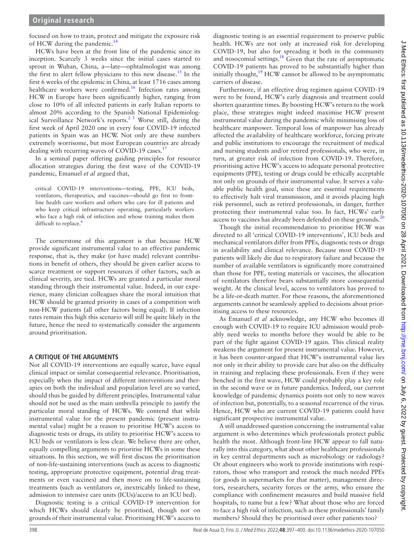focused on how to train, protect and mitigate the exposure risk of HCW during the pandemic.<sup>[14](#page-3-7)</sup>

HCWs have been at the front line of the pandemic since its inception. Scarcely 3 weeks since the initial cases started to sprout in Wuhan, China, a—late—ophtalmologist was among the first to alert fellow physicians to this new disease.[15](#page-3-8) In the first 6 weeks of the epidemic in China, at least 1716 cases among healthcare workers were confirmed.<sup>16</sup> Infection rates among HCW in Europe have been significantly higher, ranging from close to 10% of all infected patients in early Italian reports to almost 20% according to the Spanish National Epidemiological Surveillance Network's reports.<sup>2 3</sup> Worse still, during the first week of April 2020 one in every four COVID-19 infected patients in Spain was an HCW. Not only are these numbers extremely worrisome, but most European countries are already dealing with recurring waves of COVID-19 cases.<sup>17</sup>

In a seminal paper offering guiding principles for resource allocation strategies during the first wave of the COVID-19 pandemic, Emanuel *et al* argued that,

critical COVID-19 interventions—testing, PPE, ICU beds, ventilators, therapeutics, and vaccines—should go first to frontline health care workers and others who care for ill patients and who keep critical infrastructure operating, particularly workers who face a high risk of infection and whose training makes them difficult to replace.<sup>6</sup>

The cornerstone of this argument is that because HCW provide significant instrumental value to an effective pandemic response, that is, they make (or have made) relevant contributions in benefit of others, they should be given earlier access to scarce treatment or support resources if other factors, such as clinical severity, are tied. HCWs are granted a particular moral standing through their instrumental value. Indeed, in our experience, many clinician colleagues share the moral intuition that HCW should be granted priority in cases of a competition with non-HCW patients (all other factors being equal). If infection rates remain this high this scenario will still be quite likely in the future, hence the need to systematically consider the arguments around prioritisation.

# **A CRITIQUE OF THE ARGUMENTS**

Not all COVID-19 interventions are equally scarce, have equal clinical impact or similar consequential relevance. Prioritisation, especially when the impact of different interventions and therapies on both the individual and population level are so varied, should thus be guided by different principles. Instrumental value should not be used as the main umbrella principle to justify the particular moral standing of HCWs. We contend that while instrumental value for the present pandemic (present instrumental value) might be a reason to prioritise HCW's access to diagnostic tests or drugs, its utility to prioritise HCW's access to ICU beds or ventilators is less clear. We believe there are other, equally compelling arguments to prioritise HCWs in some these situations. In this section, we will first discuss the prioritisation of non-life-sustaining interventions (such as access to diagnostic testing, appropriate protective equipment, potential drug treatments or even vaccines) and then move on to life-sustaining treatments (such as ventilators or, inextricably linked to these, admission to intensive care units (ICUs)/access to an ICU bed).

Diagnostic testing is a critical COVID-19 intervention for which HCWs should clearly be prioritised, though not on grounds of their instrumental value. Prioritising HCW's access to

diagnostic testing is an essential requirement to preserve public health. HCWs are not only at increased risk for developing COVID-19, but also for spreading it both in the community and nosocomial settings.<sup>18</sup> Given that the rate of asymptomatic COVID-19 patients has proved to be substantially higher than initially thought,<sup>19</sup> HCW cannot be allowed to be asymptomatic carriers of disease.

Furthermore, if an effective drug regimen against COVID-19 were to be found, HCW's early diagnosis and treatment could shorten quarantine times. By boosting HCW's return to the work place, these strategies might indeed maximise HCW present instrumental value during the pandemic while minimising loss of healthcare manpower. Temporal loss of manpower has already affected the availability of healthcare workforce, forcing private and public institutions to encourage the recruitment of medical and nursing students and/or retired professionals, who were, in turn, at greater risk of infection from COVID-19. Therefore, prioritising active HCW's access to adequate personal protective equipments (PPE), testing or drugs could be ethically acceptable not only on grounds of their instrumental value. It serves a valuable public health goal, since these are essential requirements to effectively halt viral transmission, and it avoids placing high risk personnel, such as retired professionals, in danger, further protecting their instrumental value too. In fact, HCWs' early access to vaccines has already been defended on these grounds.<sup>[20](#page-3-14)</sup>

Though the initial recommendation to prioritise HCW was directed to all 'critical COVID-19 interventions', ICU beds and mechanical ventilators differ from PPEs, diagnostic tests or drugs in availability and clinical relevance. Because most COVID-19 patients will likely die due to respiratory failure and because the number of available ventilators is significantly more constrained than those for PPE, testing materials or vaccines, the allocation of ventilators therefore bears substantially more consequential weight. At the clinical level, access to ventilators has proved to be a life-or-death matter. For these reasons, the aforementioned arguments cannot be seamlessly applied to decisions about prioritising access to these resources.

As Emanuel *et al* acknowledge, any HCW who becomes ill enough with COVID-19 to require ICU admission would probably need weeks to months before they would be able to be part of the fight against COVID-19 again. This clinical reality weakens the argument for present instrumental value. However, it has been counter-argued that HCW's instrumental value lies not only in their ability to provide care but also on the difficulty in training and replacing these professionals. Even if they were benched in the first wave, HCW could probably play a key role in the second wave or in future pandemics. Indeed, our current knowledge of pandemic dynamics points not only to new waves of infection but, potentially, to a seasonal recurrence of the virus. Hence, HCW who are current COVID-19 patients could have significant prospective instrumental value.

A still unaddressed question concerning the instrumental value argument is who determines which professionals protect public health the most. Although front-line HCW appear to fall naturally into this category, what about other healthcare professionals in key central departments such as microbiology or radiology? Or about engineers who work to provide institutions with respirators, those who transport and restock the much needed PPEs (or goods in supermarkets for that matter), management directors, researchers, security forces or the army, who ensure the compliance with confinement measures and build massive field hospitals, to name but a few? What about those who are forced to face a high risk of infection, such as these professionals' family members? Should they be prioritised over other patients too?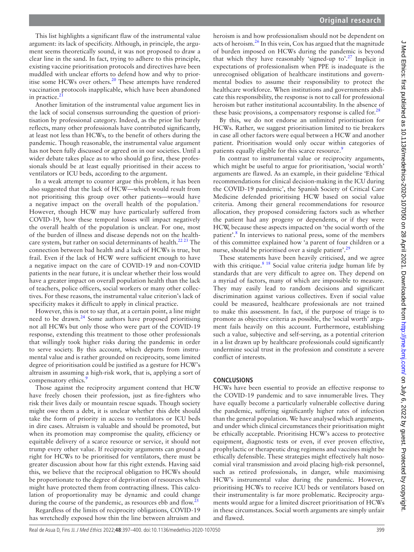This list highlights a significant flaw of the instrumental value argument: its lack of specificity. Although, in principle, the argument seems theoretically sound, it was not proposed to draw a clear line in the sand. In fact, trying to adhere to this principle, existing vaccine prioritisation protocols and directives have been muddled with unclear efforts to defend how and why to prior-itise some HCWs over others.<sup>[20](#page-3-14)</sup> These attempts have rendered vaccination protocols inapplicable, which have been abandoned in practice.<sup>2</sup>

Another limitation of the instrumental value argument lies in the lack of social consensus surrounding the question of prioritisation by professional category. Indeed, as the prior list barely reflects, many other professionals have contributed significantly, at least not less than HCWs, to the benefit of others during the pandemic. Though reasonable, the instrumental value argument has not been fully discussed or agreed on in our societies. Until a wider debate takes place as to who should go first, these professionals should be at least equally prioritised in their access to ventilators or ICU beds, according to the argument.

In a weak attempt to counter argue this problem, it has been also suggested that the lack of HCW—which would result from not prioritising this group over other patients—would have a negative impact on the overall health of the population.<sup>7</sup> However, though HCW may have particularly suffered from COVID-19, how these temporal losses will impact negatively the overall health of the population is unclear. For one, most of the burden of illness and disease depends not on the healthcare system, but rather on social determinants of health.<sup>22 23</sup> The connection between bad health and a lack of HCWs is true, but frail. Even if the lack of HCW were sufficient enough to have a negative impact on the care of COVID-19 and non-COVID patients in the near future, it is unclear whether their loss would have a greater impact on overall population health than the lack of teachers, police officers, social workers or many other collectives. For these reasons, the instrumental value criterion's lack of specificity makes it difficult to apply in clinical practice.

However, this is not to say that, at a certain point, a line might need to be drawn. $^{24}$  $^{24}$  $^{24}$  Some authors have proposed prioritising not all HCWs but only those who were part of the COVID-19 response, extending this treatment to those other professionals that willingly took higher risks during the pandemic in order to serve society. By this account, which departs from instrumental value and is rather grounded on reciprocity, some limited degree of prioritisation could be justified as a gesture for HCW's altruism in assuming a high-risk work, that is, applying a sort of compensatory ethics.<sup>[9](#page-3-4)</sup>

Those against the reciprocity argument contend that HCW have freely chosen their profession, just as fire-fighters who risk their lives daily or mountain rescue squads. Though society might owe them a debt, it is unclear whether this debt should take the form of priority in access to ventilators or ICU beds in dire cases. Altruism is valuable and should be promoted, but when its promotion may compromise the quality, efficiency or equitable delivery of a scarce resource or service, it should not trump every other value. If reciprocity arguments can ground a right for HCWs to be prioritised for ventilators, there must be greater discussion about how far this right extends. Having said this, we believe that the reciprocal obligation to HCWs should be proportionate to the degree of deprivation of resources which might have protected them from contracting illness. This calculation of proportionality may be dynamic and could change during the course of the pandemic, as resources ebb and flow.<sup>2</sup>

Regardless of the limits of reciprocity obligations, COVID-19 has wretchedly exposed how thin the line between altruism and

heroism is and how professionalism should not be dependent on acts of heroism.[26](#page-3-19) In this vein, Cox has argued that the magnitude of burden imposed on HCWs during the pandemic is beyond that which they have reasonably 'signed-up to'.<sup>27</sup> Implicit in expectations of professionalism when PPE is inadequate is the unrecognised obligation of healthcare institutions and governmental bodies to assume their responsibility to protect the healthcare workforce. When institutions and governments abdicate this responsibility, the response is not to call for professional heroism but rather institutional accountability. In the absence of these basic provisions, a compensatory response is called for. $^{28}$  $^{28}$  $^{28}$ 

By this, we do not endorse an unlimited prioritisation for HCWs. Rather, we suggest prioritisation limited to tie breakers in case all other factors were equal between a HCW and another patient. Prioritisation would only occur within categories of patients equally eligible for this scarce resource.<sup>[9](#page-3-4)</sup>

In contrast to instrumental value or reciprocity arguments, which might be useful to argue for prioritisation, 'social worth' arguments are flawed. As an example, in their guideline 'Ethical recommendations for clinical decision-making in the ICU during the COVID-19 pandemic', the Spanish Society of Critical Care Medicine defended prioritising HCW based on social value criteria. Among their general recommendations for resource allocation, they proposed considering factors such as whether the patient had any progeny or dependents, or if they were HCW, because these aspects impacted on 'the social worth of the patient'.<sup>[8](#page-3-22)</sup> In interviews to national press, some of the members of this committee explained how 'a parent of four children or a nurse, should be prioritised over a single patient'.<sup>[29](#page-3-23)</sup>

These statements have been heavily criticised, and we agree with this critique. $818$  Social value criteria judge human life by standards that are very difficult to agree on. They depend on a myriad of factors, many of which are impossible to measure. They may easily lead to random decisions and significant discrimination against various collectives. Even if social value could be measured, healthcare professionals are not trained to make this assessment. In fact, if the purpose of triage is to promote as objective criteria as possible, the 'social worth' argument fails heavily on this account. Furthermore, establishing such a value, subjective and self-serving, as a potential criterion in a list drawn up by healthcare professionals could significantly undermine social trust in the profession and constitute a severe conflict of interests.

# **CONCLUSIONS**

HCWs have been essential to provide an effective response to the COVID-19 pandemic and to save innumerable lives. They have equally become a particularly vulnerable collective during the pandemic, suffering significantly higher rates of infection than the general population. We have analysed which arguments, and under which clinical circumstances their prioritisation might be ethically acceptable. Prioritising HCW's access to protective equipment, diagnostic tests or even, if ever proven effective, prophylactic or therapeutic drug regimens and vaccines might be ethically defensible. These strategies might effectively halt nosocomial viral transmission and avoid placing high-risk personnel, such as retired professionals, in danger, while maximising HCW's instrumental value during the pandemic. However, prioritising HCWs to receive ICU beds or ventilators based on their instrumentality is far more problematic. Reciprocity arguments would argue for a limited discreet prioritisation of HCWs in these circumstances. Social worth arguments are simply unfair and flawed.